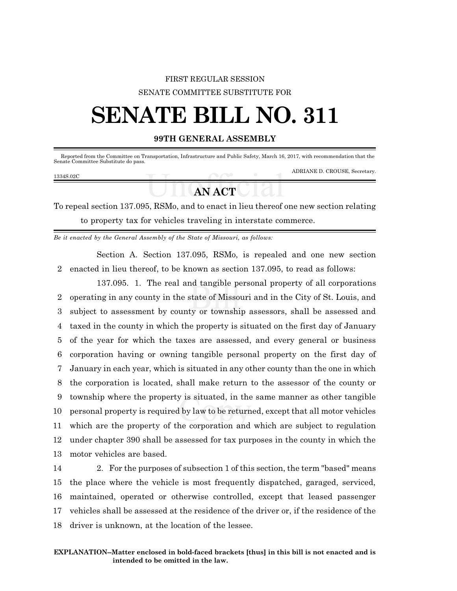## FIRST REGULAR SESSION SENATE COMMITTEE SUBSTITUTE FOR

# **SENATE BILL NO. 311**

### **99TH GENERAL ASSEMBLY**

 Reported from the Committee on Transportation, Infrastructure and Public Safety, March 16, 2017, with recommendation that the Senate Committee Substitute do pass.

#### 1334S.02C

ADRIANE D. CROUSE, Secretary.

# **AN ACT**

To repeal section 137.095, RSMo, and to enact in lieu thereof one new section relating to property tax for vehicles traveling in interstate commerce.

*Be it enacted by the General Assembly of the State of Missouri, as follows:*

Section A. Section 137.095, RSMo, is repealed and one new section 2 enacted in lieu thereof, to be known as section 137.095, to read as follows:

137.095. 1. The real and tangible personal property of all corporations operating in any county in the state of Missouri and in the City of St. Louis, and subject to assessment by county or township assessors, shall be assessed and taxed in the county in which the property is situated on the first day of January of the year for which the taxes are assessed, and every general or business corporation having or owning tangible personal property on the first day of January in each year, which is situated in any other county than the one in which the corporation is located, shall make return to the assessor of the county or township where the property is situated, in the same manner as other tangible personal property is required by law to be returned, except that all motor vehicles which are the property of the corporation and which are subject to regulation under chapter 390 shall be assessed for tax purposes in the county in which the motor vehicles are based.

 2. For the purposes of subsection 1 of this section, the term "based" means the place where the vehicle is most frequently dispatched, garaged, serviced, maintained, operated or otherwise controlled, except that leased passenger vehicles shall be assessed at the residence of the driver or, if the residence of the driver is unknown, at the location of the lessee.